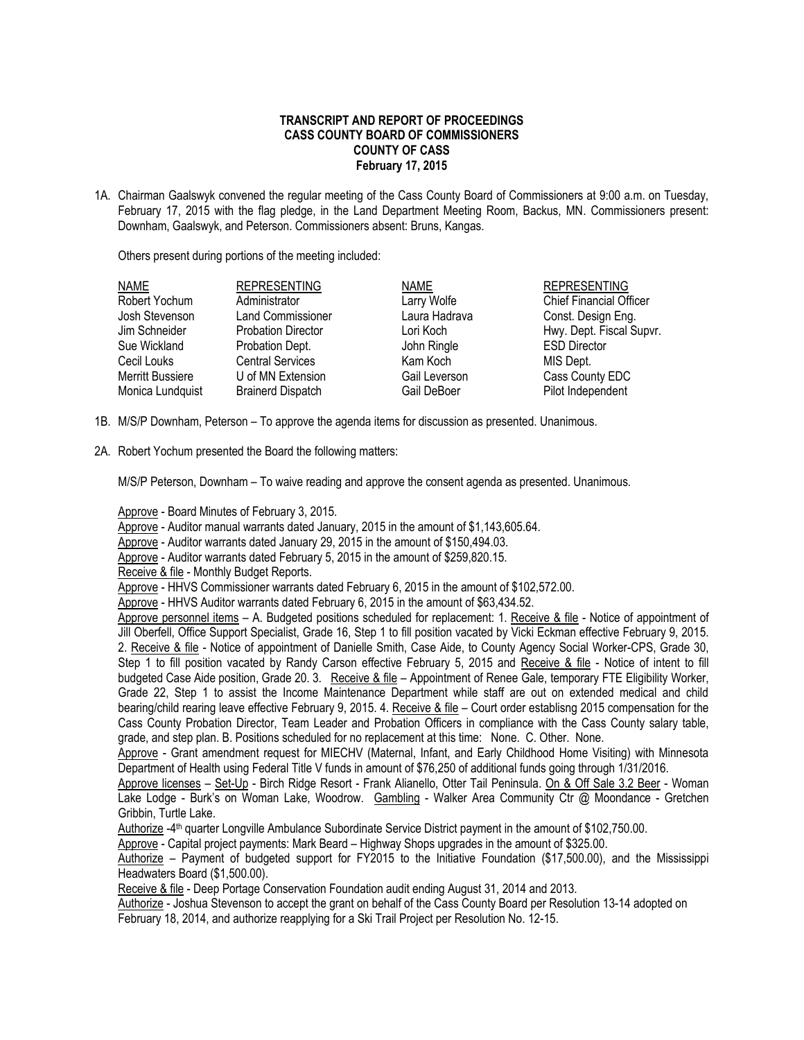## **TRANSCRIPT AND REPORT OF PROCEEDINGS CASS COUNTY BOARD OF COMMISSIONERS COUNTY OF CASS February 17, 2015**

1A. Chairman Gaalswyk convened the regular meeting of the Cass County Board of Commissioners at 9:00 a.m. on Tuesday, February 17, 2015 with the flag pledge, in the Land Department Meeting Room, Backus, MN. Commissioners present: Downham, Gaalswyk, and Peterson. Commissioners absent: Bruns, Kangas.

Others present during portions of the meeting included:

| <b>NAME</b>      | <b>REPRESENTING</b>       | <b>NAME</b>   | <b>REPRESENTING</b>            |
|------------------|---------------------------|---------------|--------------------------------|
| Robert Yochum    | Administrator             | Larry Wolfe   | <b>Chief Financial Officer</b> |
| Josh Stevenson   | <b>Land Commissioner</b>  | Laura Hadrava | Const. Design Eng.             |
| Jim Schneider    | <b>Probation Director</b> | Lori Koch     | Hwy. Dept. Fiscal Supvr.       |
| Sue Wickland     | Probation Dept.           | John Ringle   | <b>ESD Director</b>            |
| Cecil Louks      | <b>Central Services</b>   | Kam Koch      | MIS Dept.                      |
| Merritt Bussiere | U of MN Extension         | Gail Leverson | Cass County EDC                |
| Monica Lundquist | <b>Brainerd Dispatch</b>  | Gail DeBoer   | Pilot Independent              |

- 1B. M/S/P Downham, Peterson To approve the agenda items for discussion as presented. Unanimous.
- 2A. Robert Yochum presented the Board the following matters:

M/S/P Peterson, Downham – To waive reading and approve the consent agenda as presented. Unanimous.

Approve - Board Minutes of February 3, 2015.

Approve - Auditor manual warrants dated January, 2015 in the amount of \$1,143,605.64.

Approve - Auditor warrants dated January 29, 2015 in the amount of \$150,494.03.

Approve - Auditor warrants dated February 5, 2015 in the amount of \$259,820.15.

Receive & file - Monthly Budget Reports.

Approve - HHVS Commissioner warrants dated February 6, 2015 in the amount of \$102,572.00.

Approve - HHVS Auditor warrants dated February 6, 2015 in the amount of \$63,434.52.

Approve personnel items – A. Budgeted positions scheduled for replacement: 1. Receive & file - Notice of appointment of Jill Oberfell, Office Support Specialist, Grade 16, Step 1 to fill position vacated by Vicki Eckman effective February 9, 2015. 2. Receive & file - Notice of appointment of Danielle Smith, Case Aide, to County Agency Social Worker-CPS, Grade 30, Step 1 to fill position vacated by Randy Carson effective February 5, 2015 and Receive & file - Notice of intent to fill budgeted Case Aide position, Grade 20. 3. Receive & file - Appointment of Renee Gale, temporary FTE Eligibility Worker, Grade 22, Step 1 to assist the Income Maintenance Department while staff are out on extended medical and child bearing/child rearing leave effective February 9, 2015. 4. Receive & file – Court order establisng 2015 compensation for the Cass County Probation Director, Team Leader and Probation Officers in compliance with the Cass County salary table, grade, and step plan. B. Positions scheduled for no replacement at this time: None. C. Other. None.

Approve - Grant amendment request for MIECHV (Maternal, Infant, and Early Childhood Home Visiting) with Minnesota Department of Health using Federal Title V funds in amount of \$76,250 of additional funds going through 1/31/2016.

Approve licenses - Set-Up - Birch Ridge Resort - Frank Alianello, Otter Tail Peninsula. On & Off Sale 3.2 Beer - Woman Lake Lodge - Burk's on Woman Lake, Woodrow. Gambling - Walker Area Community Ctr @ Moondance - Gretchen Gribbin, Turtle Lake.

Authorize -4<sup>th</sup> quarter Longville Ambulance Subordinate Service District payment in the amount of \$102,750.00.

Approve - Capital project payments: Mark Beard - Highway Shops upgrades in the amount of \$325.00.

Authorize – Payment of budgeted support for FY2015 to the Initiative Foundation (\$17,500.00), and the Mississippi Headwaters Board (\$1,500.00).

Receive & file - Deep Portage Conservation Foundation audit ending August 31, 2014 and 2013.

Authorize - Joshua Stevenson to accept the grant on behalf of the Cass County Board per Resolution 13-14 adopted on February 18, 2014, and authorize reapplying for a Ski Trail Project per Resolution No. 12-15.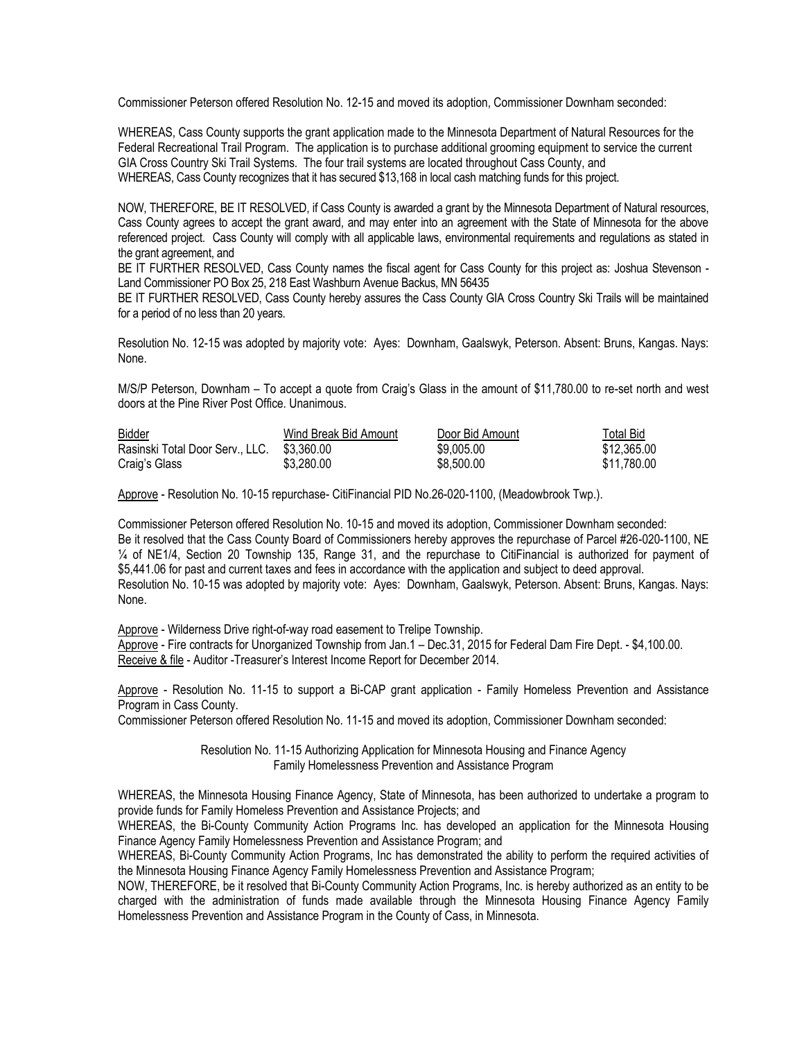Commissioner Peterson offered Resolution No. 12-15 and moved its adoption, Commissioner Downham seconded:

WHEREAS, Cass County supports the grant application made to the Minnesota Department of Natural Resources for the Federal Recreational Trail Program. The application is to purchase additional grooming equipment to service the current GIA Cross Country Ski Trail Systems. The four trail systems are located throughout Cass County, and WHEREAS, Cass County recognizes that it has secured \$13,168 in local cash matching funds for this project.

NOW, THEREFORE, BE IT RESOLVED, if Cass County is awarded a grant by the Minnesota Department of Natural resources, Cass County agrees to accept the grant award, and may enter into an agreement with the State of Minnesota for the above referenced project. Cass County will comply with all applicable laws, environmental requirements and regulations as stated in the grant agreement, and

BE IT FURTHER RESOLVED, Cass County names the fiscal agent for Cass County for this project as: Joshua Stevenson - Land Commissioner PO Box 25, 218 East Washburn Avenue Backus, MN 56435

BE IT FURTHER RESOLVED, Cass County hereby assures the Cass County GIA Cross Country Ski Trails will be maintained for a period of no less than 20 years.

Resolution No. 12-15 was adopted by majority vote: Ayes: Downham, Gaalswyk, Peterson. Absent: Bruns, Kangas. Nays: None.

M/S/P Peterson, Downham – To accept a quote from Craig's Glass in the amount of \$11,780.00 to re-set north and west doors at the Pine River Post Office. Unanimous.

| Bidder                          | Wind Break Bid Amount | Door Bid Amount | Total Bid   |
|---------------------------------|-----------------------|-----------------|-------------|
| Rasinski Total Door Serv., LLC. | \$3.360.00            | \$9,005.00      | \$12.365.00 |
| Craig's Glass                   | \$3,280,00            | \$8,500.00      | \$11.780.00 |

Approve - Resolution No. 10-15 repurchase- CitiFinancial PID No.26-020-1100, (Meadowbrook Twp.).

Commissioner Peterson offered Resolution No. 10-15 and moved its adoption, Commissioner Downham seconded: Be it resolved that the Cass County Board of Commissioners hereby approves the repurchase of Parcel #26-020-1100, NE ¼ of NE1/4, Section 20 Township 135, Range 31, and the repurchase to CitiFinancial is authorized for payment of \$5,441.06 for past and current taxes and fees in accordance with the application and subject to deed approval. Resolution No. 10-15 was adopted by majority vote: Ayes: Downham, Gaalswyk, Peterson. Absent: Bruns, Kangas. Nays: None.

Approve - Wilderness Drive right-of-way road easement to Trelipe Township. Approve - Fire contracts for Unorganized Township from Jan.1 – Dec.31, 2015 for Federal Dam Fire Dept. - \$4,100.00. Receive & file - Auditor -Treasurer's Interest Income Report for December 2014.

Approve - Resolution No. 11-15 to support a Bi-CAP grant application - Family Homeless Prevention and Assistance Program in Cass County.

Commissioner Peterson offered Resolution No. 11-15 and moved its adoption, Commissioner Downham seconded:

Resolution No. 11-15 Authorizing Application for Minnesota Housing and Finance Agency Family Homelessness Prevention and Assistance Program

WHEREAS, the Minnesota Housing Finance Agency, State of Minnesota, has been authorized to undertake a program to provide funds for Family Homeless Prevention and Assistance Projects; and

WHEREAS, the Bi-County Community Action Programs Inc. has developed an application for the Minnesota Housing Finance Agency Family Homelessness Prevention and Assistance Program; and

WHEREAS, Bi-County Community Action Programs, Inc has demonstrated the ability to perform the required activities of the Minnesota Housing Finance Agency Family Homelessness Prevention and Assistance Program;

NOW, THEREFORE, be it resolved that Bi-County Community Action Programs, Inc. is hereby authorized as an entity to be charged with the administration of funds made available through the Minnesota Housing Finance Agency Family Homelessness Prevention and Assistance Program in the County of Cass, in Minnesota.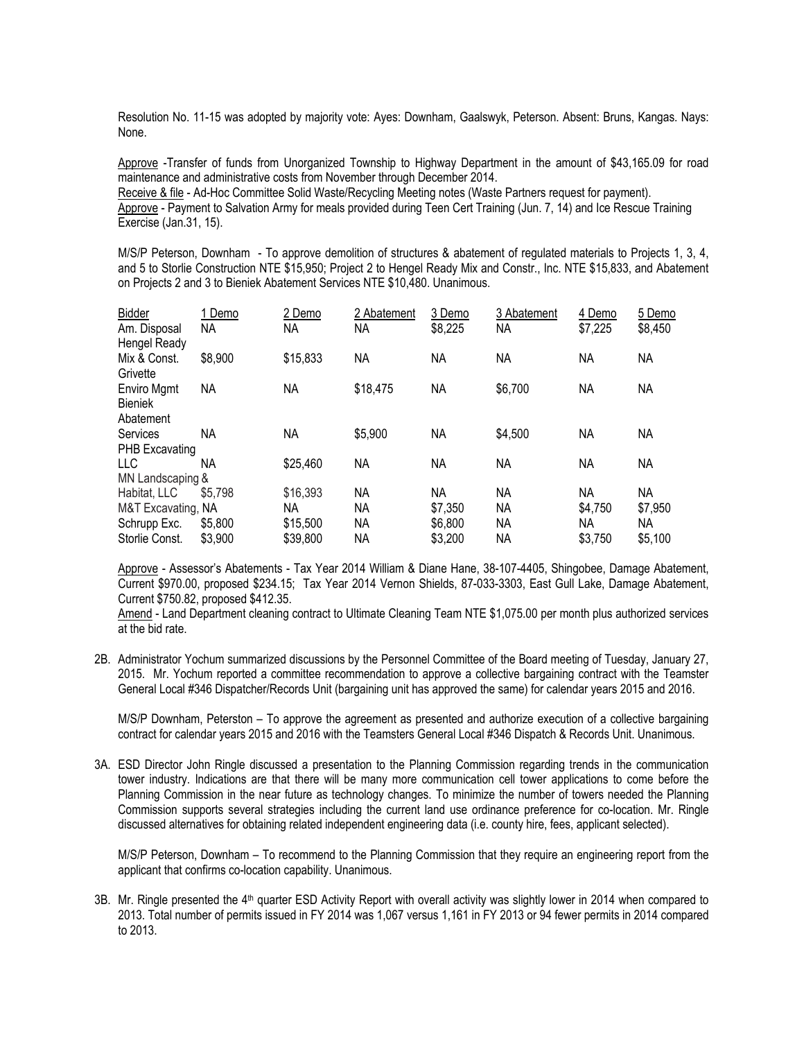Resolution No. 11-15 was adopted by majority vote: Ayes: Downham, Gaalswyk, Peterson. Absent: Bruns, Kangas. Nays: None.

Approve -Transfer of funds from Unorganized Township to Highway Department in the amount of \$43,165.09 for road maintenance and administrative costs from November through December 2014.

Receive & file - Ad-Hoc Committee Solid Waste/Recycling Meeting notes (Waste Partners request for payment). Approve - Payment to Salvation Army for meals provided during Teen Cert Training (Jun. 7, 14) and Ice Rescue Training Exercise (Jan.31, 15).

M/S/P Peterson, Downham - To approve demolition of structures & abatement of regulated materials to Projects 1, 3, 4, and 5 to Storlie Construction NTE \$15,950; Project 2 to Hengel Ready Mix and Constr., Inc. NTE \$15,833, and Abatement on Projects 2 and 3 to Bieniek Abatement Services NTE \$10,480. Unanimous.

| <b>Bidder</b>      | 1 Demo  | 2 Demo   | 2 Abatement | 3 Demo  | 3 Abatement | 4 Demo    | 5 Demo  |
|--------------------|---------|----------|-------------|---------|-------------|-----------|---------|
| Am. Disposal       | NΑ      | ΝA       | ΝA          | \$8,225 | <b>NA</b>   | \$7,225   | \$8,450 |
| Hengel Ready       |         |          |             |         |             |           |         |
| Mix & Const.       | \$8,900 | \$15,833 | ΝA          | NΑ      | NΑ          | <b>NA</b> | ΝA      |
| Grivette           |         |          |             |         |             |           |         |
| <b>Enviro Mgmt</b> | ΝA      | NΑ       | \$18,475    | NΑ      | \$6,700     | <b>NA</b> | NΑ      |
| <b>Bieniek</b>     |         |          |             |         |             |           |         |
| Abatement          |         |          |             |         |             |           |         |
| Services           | ΝA      | ΝA       | \$5,900     | NΑ      | \$4,500     | <b>NA</b> | NΑ      |
| PHB Excavating     |         |          |             |         |             |           |         |
| LLC                | ΝA      | \$25,460 | ΝA          | NΑ      | <b>NA</b>   | NA        | NΑ      |
| MN Landscaping &   |         |          |             |         |             |           |         |
| Habitat, LLC       | \$5,798 | \$16,393 | NA.         | ΝA      | ΝA          | NА        | ΝA      |
| M&T Excavating, NA |         | ΝA       | ΝA          | \$7,350 | ΝA          | \$4,750   | \$7,950 |
| Schrupp Exc.       | \$5,800 | \$15,500 | ΝA          | \$6,800 | <b>NA</b>   | ΝA        | ΝA      |
| Storlie Const.     | \$3,900 | \$39,800 | NΑ          | \$3,200 | NΑ          | \$3,750   | \$5,100 |

Approve - Assessor's Abatements - Tax Year 2014 William & Diane Hane, 38-107-4405, Shingobee, Damage Abatement, Current \$970.00, proposed \$234.15; Tax Year 2014 Vernon Shields, 87-033-3303, East Gull Lake, Damage Abatement, Current \$750.82, proposed \$412.35.

Amend - Land Department cleaning contract to Ultimate Cleaning Team NTE \$1,075.00 per month plus authorized services at the bid rate.

2B. Administrator Yochum summarized discussions by the Personnel Committee of the Board meeting of Tuesday, January 27, 2015. Mr. Yochum reported a committee recommendation to approve a collective bargaining contract with the Teamster General Local #346 Dispatcher/Records Unit (bargaining unit has approved the same) for calendar years 2015 and 2016.

M/S/P Downham, Peterston – To approve the agreement as presented and authorize execution of a collective bargaining contract for calendar years 2015 and 2016 with the Teamsters General Local #346 Dispatch & Records Unit. Unanimous.

3A. ESD Director John Ringle discussed a presentation to the Planning Commission regarding trends in the communication tower industry. Indications are that there will be many more communication cell tower applications to come before the Planning Commission in the near future as technology changes. To minimize the number of towers needed the Planning Commission supports several strategies including the current land use ordinance preference for co-location. Mr. Ringle discussed alternatives for obtaining related independent engineering data (i.e. county hire, fees, applicant selected).

M/S/P Peterson, Downham – To recommend to the Planning Commission that they require an engineering report from the applicant that confirms co-location capability. Unanimous.

3B. Mr. Ringle presented the 4th quarter ESD Activity Report with overall activity was slightly lower in 2014 when compared to 2013. Total number of permits issued in FY 2014 was 1,067 versus 1,161 in FY 2013 or 94 fewer permits in 2014 compared to 2013.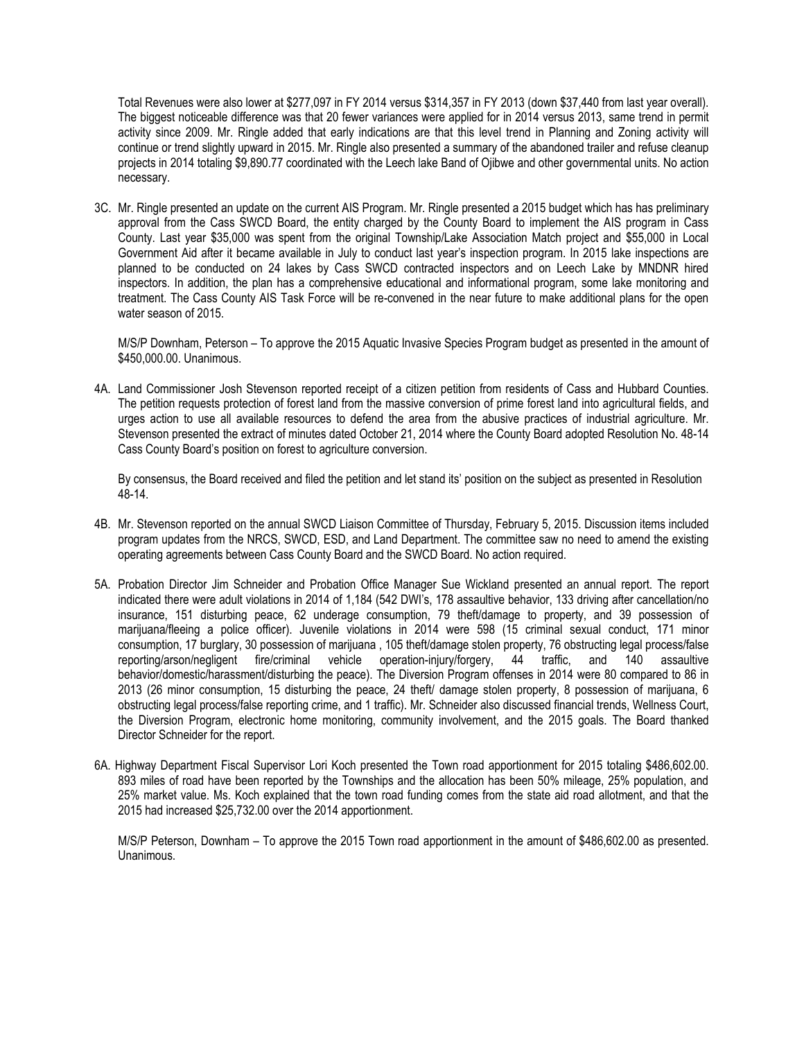Total Revenues were also lower at \$277,097 in FY 2014 versus \$314,357 in FY 2013 (down \$37,440 from last year overall). The biggest noticeable difference was that 20 fewer variances were applied for in 2014 versus 2013, same trend in permit activity since 2009. Mr. Ringle added that early indications are that this level trend in Planning and Zoning activity will continue or trend slightly upward in 2015. Mr. Ringle also presented a summary of the abandoned trailer and refuse cleanup projects in 2014 totaling \$9,890.77 coordinated with the Leech lake Band of Ojibwe and other governmental units. No action necessary.

3C. Mr. Ringle presented an update on the current AIS Program. Mr. Ringle presented a 2015 budget which has has preliminary approval from the Cass SWCD Board, the entity charged by the County Board to implement the AIS program in Cass County. Last year \$35,000 was spent from the original Township/Lake Association Match project and \$55,000 in Local Government Aid after it became available in July to conduct last year's inspection program. In 2015 lake inspections are planned to be conducted on 24 lakes by Cass SWCD contracted inspectors and on Leech Lake by MNDNR hired inspectors. In addition, the plan has a comprehensive educational and informational program, some lake monitoring and treatment. The Cass County AIS Task Force will be re-convened in the near future to make additional plans for the open water season of 2015.

M/S/P Downham, Peterson – To approve the 2015 Aquatic Invasive Species Program budget as presented in the amount of \$450,000.00. Unanimous.

4A. Land Commissioner Josh Stevenson reported receipt of a citizen petition from residents of Cass and Hubbard Counties. The petition requests protection of forest land from the massive conversion of prime forest land into agricultural fields, and urges action to use all available resources to defend the area from the abusive practices of industrial agriculture. Mr. Stevenson presented the extract of minutes dated October 21, 2014 where the County Board adopted Resolution No. 48-14 Cass County Board's position on forest to agriculture conversion.

By consensus, the Board received and filed the petition and let stand its' position on the subject as presented in Resolution 48-14.

- 4B. Mr. Stevenson reported on the annual SWCD Liaison Committee of Thursday, February 5, 2015. Discussion items included program updates from the NRCS, SWCD, ESD, and Land Department. The committee saw no need to amend the existing operating agreements between Cass County Board and the SWCD Board. No action required.
- 5A. Probation Director Jim Schneider and Probation Office Manager Sue Wickland presented an annual report. The report indicated there were adult violations in 2014 of 1,184 (542 DWI's, 178 assaultive behavior, 133 driving after cancellation/no insurance, 151 disturbing peace, 62 underage consumption, 79 theft/damage to property, and 39 possession of marijuana/fleeing a police officer). Juvenile violations in 2014 were 598 (15 criminal sexual conduct, 171 minor consumption, 17 burglary, 30 possession of marijuana , 105 theft/damage stolen property, 76 obstructing legal process/false reporting/arson/negligent fire/criminal vehicle operation-injury/forgery, 44 traffic, and 140 assaultive behavior/domestic/harassment/disturbing the peace). The Diversion Program offenses in 2014 were 80 compared to 86 in 2013 (26 minor consumption, 15 disturbing the peace, 24 theft/ damage stolen property, 8 possession of marijuana, 6 obstructing legal process/false reporting crime, and 1 traffic). Mr. Schneider also discussed financial trends, Wellness Court, the Diversion Program, electronic home monitoring, community involvement, and the 2015 goals. The Board thanked Director Schneider for the report.
- 6A. Highway Department Fiscal Supervisor Lori Koch presented the Town road apportionment for 2015 totaling \$486,602.00. 893 miles of road have been reported by the Townships and the allocation has been 50% mileage, 25% population, and 25% market value. Ms. Koch explained that the town road funding comes from the state aid road allotment, and that the 2015 had increased \$25,732.00 over the 2014 apportionment.

M/S/P Peterson, Downham – To approve the 2015 Town road apportionment in the amount of \$486,602.00 as presented. Unanimous.